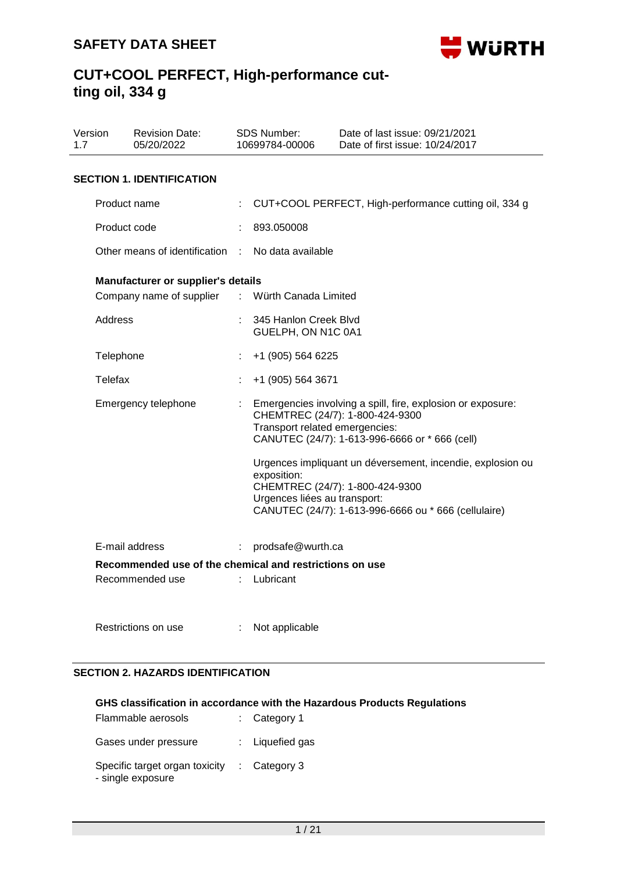

| 1.7 | Version        | <b>Revision Date:</b><br>05/20/2022                     |   | SDS Number:<br>10699784-00006               | Date of last issue: 09/21/2021<br>Date of first issue: 10/24/2017                                                                                |
|-----|----------------|---------------------------------------------------------|---|---------------------------------------------|--------------------------------------------------------------------------------------------------------------------------------------------------|
|     |                | <b>SECTION 1. IDENTIFICATION</b>                        |   |                                             |                                                                                                                                                  |
|     |                | Product name                                            |   |                                             | CUT+COOL PERFECT, High-performance cutting oil, 334 g                                                                                            |
|     | Product code   |                                                         |   | 893.050008                                  |                                                                                                                                                  |
|     |                | Other means of identification                           |   | No data available                           |                                                                                                                                                  |
|     |                | <b>Manufacturer or supplier's details</b>               |   |                                             |                                                                                                                                                  |
|     |                | Company name of supplier                                | ÷ | Würth Canada Limited                        |                                                                                                                                                  |
|     | <b>Address</b> |                                                         |   | 345 Hanlon Creek Blvd<br>GUELPH, ON N1C 0A1 |                                                                                                                                                  |
|     | Telephone      |                                                         | t | +1 (905) 564 6225                           |                                                                                                                                                  |
|     | Telefax        |                                                         |   | +1 (905) 564 3671                           |                                                                                                                                                  |
|     |                | Emergency telephone                                     |   | Transport related emergencies:              | Emergencies involving a spill, fire, explosion or exposure:<br>CHEMTREC (24/7): 1-800-424-9300<br>CANUTEC (24/7): 1-613-996-6666 or * 666 (cell) |
|     |                |                                                         |   | exposition:                                 | Urgences impliquant un déversement, incendie, explosion ou                                                                                       |
|     |                |                                                         |   | Urgences liées au transport:                | CHEMTREC (24/7): 1-800-424-9300                                                                                                                  |
|     |                |                                                         |   |                                             | CANUTEC (24/7): 1-613-996-6666 ou * 666 (cellulaire)                                                                                             |
|     |                | E-mail address                                          | ÷ | prodsafe@wurth.ca                           |                                                                                                                                                  |
|     |                | Recommended use of the chemical and restrictions on use |   |                                             |                                                                                                                                                  |
|     |                | Recommended use                                         |   | Lubricant                                   |                                                                                                                                                  |
|     |                | Restrictions on use                                     |   | Not applicable                              |                                                                                                                                                  |

### **SECTION 2. HAZARDS IDENTIFICATION**

### **GHS classification in accordance with the Hazardous Products Regulations**

| Flammable aerosols                                  | $:$ Category 1          |
|-----------------------------------------------------|-------------------------|
| Gases under pressure                                | : Liquefied gas         |
| Specific target organ toxicity<br>- single exposure | $\therefore$ Category 3 |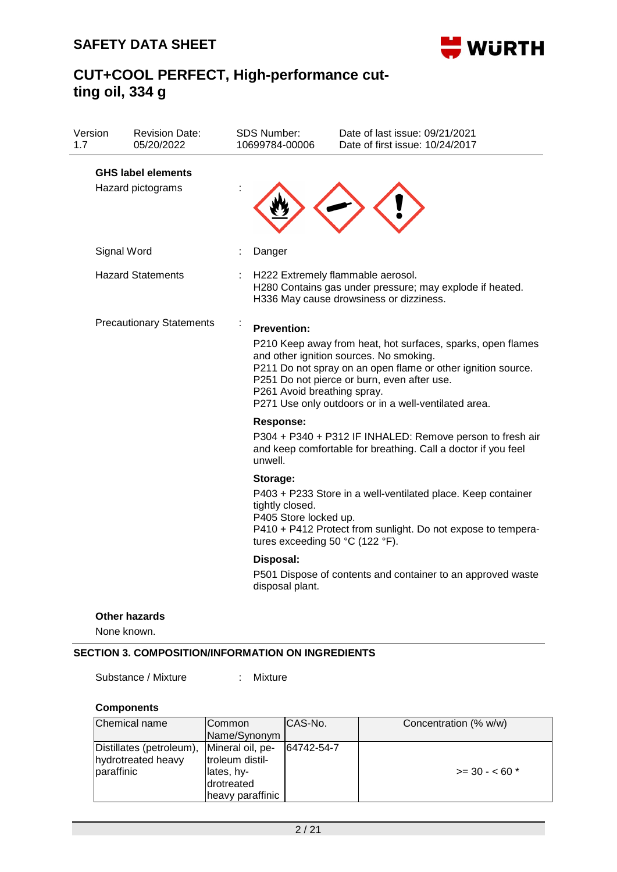

| Version<br>1.7 | <b>Revision Date:</b><br>05/20/2022            |  | SDS Number:<br>10699784-00006                                                                                                            | Date of last issue: 09/21/2021<br>Date of first issue: 10/24/2017                                                                                                                                                                                                             |  |  |
|----------------|------------------------------------------------|--|------------------------------------------------------------------------------------------------------------------------------------------|-------------------------------------------------------------------------------------------------------------------------------------------------------------------------------------------------------------------------------------------------------------------------------|--|--|
|                | <b>GHS label elements</b><br>Hazard pictograms |  |                                                                                                                                          |                                                                                                                                                                                                                                                                               |  |  |
|                | Signal Word                                    |  | Danger                                                                                                                                   |                                                                                                                                                                                                                                                                               |  |  |
|                | <b>Hazard Statements</b>                       |  | H222 Extremely flammable aerosol.<br>H280 Contains gas under pressure; may explode if heated.<br>H336 May cause drowsiness or dizziness. |                                                                                                                                                                                                                                                                               |  |  |
|                | <b>Precautionary Statements</b>                |  | <b>Prevention:</b><br>P261 Avoid breathing spray.                                                                                        | P210 Keep away from heat, hot surfaces, sparks, open flames<br>and other ignition sources. No smoking.<br>P211 Do not spray on an open flame or other ignition source.<br>P251 Do not pierce or burn, even after use.<br>P271 Use only outdoors or in a well-ventilated area. |  |  |
|                |                                                |  | <b>Response:</b><br>unwell.                                                                                                              | P304 + P340 + P312 IF INHALED: Remove person to fresh air<br>and keep comfortable for breathing. Call a doctor if you feel                                                                                                                                                    |  |  |
|                |                                                |  | Storage:<br>tightly closed.<br>P405 Store locked up.<br>tures exceeding 50 °C (122 °F).                                                  | P403 + P233 Store in a well-ventilated place. Keep container<br>P410 + P412 Protect from sunlight. Do not expose to tempera-                                                                                                                                                  |  |  |
|                |                                                |  | Disposal:<br>disposal plant.                                                                                                             | P501 Dispose of contents and container to an approved waste                                                                                                                                                                                                                   |  |  |
|                | Other hazards                                  |  |                                                                                                                                          |                                                                                                                                                                                                                                                                               |  |  |

None known.

### **SECTION 3. COMPOSITION/INFORMATION ON INGREDIENTS**

Substance / Mixture : Mixture

# **Components**

| Chemical name                                                | ICommon<br>Name/Synonym                                                             | ICAS-No.   | Concentration (% w/w) |
|--------------------------------------------------------------|-------------------------------------------------------------------------------------|------------|-----------------------|
| Distillates (petroleum),<br>hydrotreated heavy<br>paraffinic | Mineral oil, pe-<br>troleum distil-<br>lates, hy-<br>drotreated<br>heavy paraffinic | 64742-54-7 | $>=$ 30 - < 60 $*$    |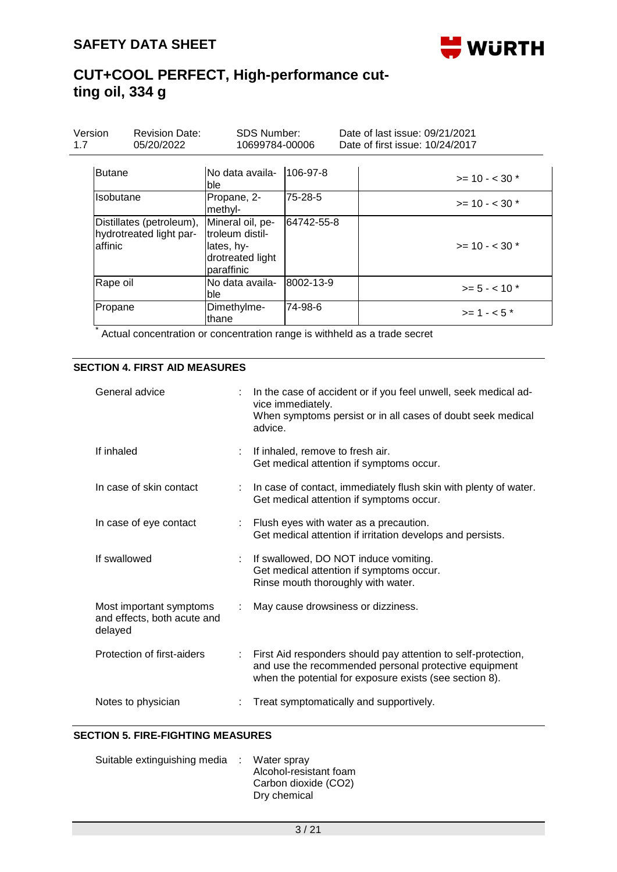

## **CUT+COOL PERFECT, High-performance cutting oil, 334 g**

| Version<br>1.7 | <b>Revision Date:</b><br>05/20/2022                 | <b>SDS Number:</b><br>10699784-00006                                                 |            | Date of last issue: 09/21/2021<br>Date of first issue: 10/24/2017 |
|----------------|-----------------------------------------------------|--------------------------------------------------------------------------------------|------------|-------------------------------------------------------------------|
| <b>Butane</b>  |                                                     | No data availa-<br>lble                                                              | 106-97-8   | $>= 10 - < 30$ *                                                  |
| Isobutane      |                                                     | Propane, 2-<br>methyl-                                                               | 75-28-5    | $>= 10 - < 30$ *                                                  |
| laffinic       | Distillates (petroleum),<br>hydrotreated light par- | Mineral oil, pe-<br>troleum distil-<br>llates, hv-<br>drotreated light<br>paraffinic | 64742-55-8 | $>= 10 - < 30$ *                                                  |
| Rape oil       |                                                     | INo data availa-<br><b>ble</b>                                                       | 8002-13-9  | $>= 5 - < 10$ *                                                   |
| Propane        |                                                     | Dimethylme-<br>lthane                                                                | 74-98-6    | $>= 1 - 5$ *                                                      |

\* Actual concentration or concentration range is withheld as a trade secret

### **SECTION 4. FIRST AID MEASURES**

| General advice                                                    | In the case of accident or if you feel unwell, seek medical ad-<br>vice immediately.<br>When symptoms persist or in all cases of doubt seek medical<br>advice.                    |
|-------------------------------------------------------------------|-----------------------------------------------------------------------------------------------------------------------------------------------------------------------------------|
| If inhaled                                                        | If inhaled, remove to fresh air.<br>Get medical attention if symptoms occur.                                                                                                      |
| In case of skin contact                                           | In case of contact, immediately flush skin with plenty of water.<br>Get medical attention if symptoms occur.                                                                      |
| In case of eye contact                                            | Flush eyes with water as a precaution.<br>Get medical attention if irritation develops and persists.                                                                              |
| If swallowed                                                      | If swallowed, DO NOT induce vomiting.<br>Get medical attention if symptoms occur.<br>Rinse mouth thoroughly with water.                                                           |
| Most important symptoms<br>and effects, both acute and<br>delayed | May cause drowsiness or dizziness.                                                                                                                                                |
| Protection of first-aiders                                        | First Aid responders should pay attention to self-protection,<br>and use the recommended personal protective equipment<br>when the potential for exposure exists (see section 8). |
| Notes to physician                                                | Treat symptomatically and supportively.                                                                                                                                           |

#### **SECTION 5. FIRE-FIGHTING MEASURES**

| Suitable extinguishing media : Water spray |                        |
|--------------------------------------------|------------------------|
|                                            | Alcohol-resistant foam |
|                                            | Carbon dioxide (CO2)   |
|                                            | Dry chemical           |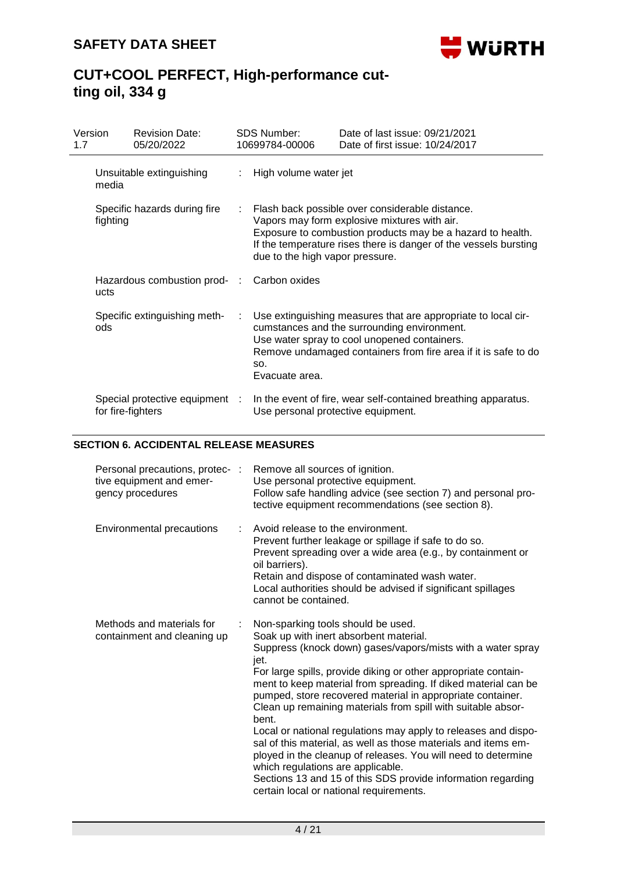

| 1.7 | Version  | <b>Revision Date:</b><br>05/20/2022                 | <b>SDS Number:</b><br>10699784-00006 | Date of last issue: 09/21/2021<br>Date of first issue: 10/24/2017                                                                                                                                                                 |
|-----|----------|-----------------------------------------------------|--------------------------------------|-----------------------------------------------------------------------------------------------------------------------------------------------------------------------------------------------------------------------------------|
|     | media    | Unsuitable extinguishing                            | High volume water jet                |                                                                                                                                                                                                                                   |
|     | fighting | Specific hazards during fire                        | due to the high vapor pressure.      | Flash back possible over considerable distance.<br>Vapors may form explosive mixtures with air.<br>Exposure to combustion products may be a hazard to health.<br>If the temperature rises there is danger of the vessels bursting |
|     | ucts     | Hazardous combustion prod- :                        | Carbon oxides                        |                                                                                                                                                                                                                                   |
|     | ods      | Specific extinguishing meth-                        | SO.<br>Evacuate area.                | Use extinguishing measures that are appropriate to local cir-<br>cumstances and the surrounding environment.<br>Use water spray to cool unopened containers.<br>Remove undamaged containers from fire area if it is safe to do    |
|     |          | Special protective equipment :<br>for fire-fighters |                                      | In the event of fire, wear self-contained breathing apparatus.<br>Use personal protective equipment.                                                                                                                              |

### **SECTION 6. ACCIDENTAL RELEASE MEASURES**

| Personal precautions, protec- :<br>tive equipment and emer-<br>gency procedures | Remove all sources of ignition.<br>Use personal protective equipment.<br>Follow safe handling advice (see section 7) and personal pro-<br>tective equipment recommendations (see section 8).                                                                                                                                                                                                                                                                                                                                                                                                                                                                                                                                                                                        |
|---------------------------------------------------------------------------------|-------------------------------------------------------------------------------------------------------------------------------------------------------------------------------------------------------------------------------------------------------------------------------------------------------------------------------------------------------------------------------------------------------------------------------------------------------------------------------------------------------------------------------------------------------------------------------------------------------------------------------------------------------------------------------------------------------------------------------------------------------------------------------------|
| Environmental precautions                                                       | Avoid release to the environment.<br>Prevent further leakage or spillage if safe to do so.<br>Prevent spreading over a wide area (e.g., by containment or<br>oil barriers).<br>Retain and dispose of contaminated wash water.<br>Local authorities should be advised if significant spillages<br>cannot be contained.                                                                                                                                                                                                                                                                                                                                                                                                                                                               |
| Methods and materials for<br>containment and cleaning up                        | Non-sparking tools should be used.<br>Soak up with inert absorbent material.<br>Suppress (knock down) gases/vapors/mists with a water spray<br>jet.<br>For large spills, provide diking or other appropriate contain-<br>ment to keep material from spreading. If diked material can be<br>pumped, store recovered material in appropriate container.<br>Clean up remaining materials from spill with suitable absor-<br>bent.<br>Local or national regulations may apply to releases and dispo-<br>sal of this material, as well as those materials and items em-<br>ployed in the cleanup of releases. You will need to determine<br>which regulations are applicable.<br>Sections 13 and 15 of this SDS provide information regarding<br>certain local or national requirements. |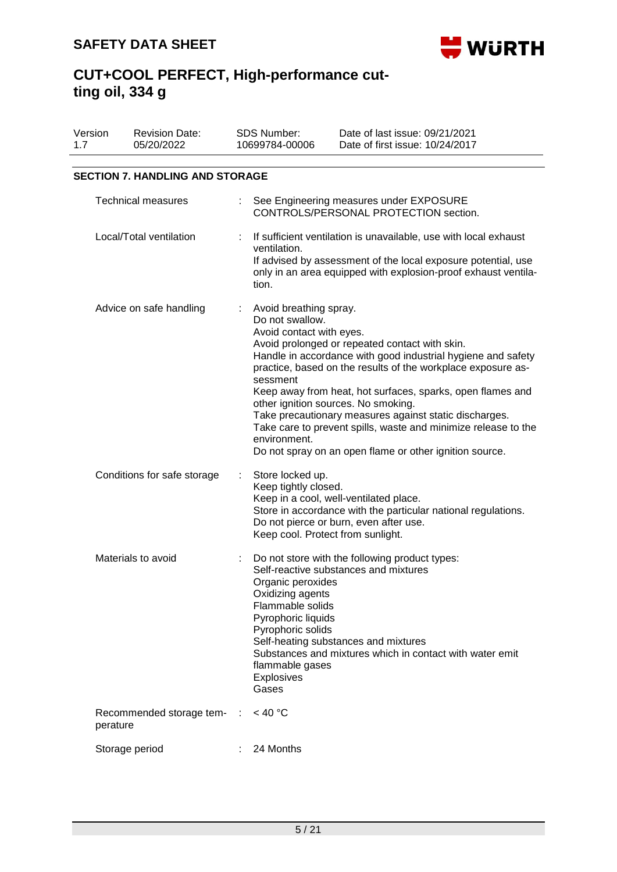

| Version<br>1.7 |                                        | <b>Revision Date:</b><br>05/20/2022 |      | <b>SDS Number:</b><br>10699784-00006                                                                                                                  | Date of last issue: 09/21/2021<br>Date of first issue: 10/24/2017                                                                                                                                                                                                                                                                                                                                                                                                          |  |  |  |  |  |
|----------------|----------------------------------------|-------------------------------------|------|-------------------------------------------------------------------------------------------------------------------------------------------------------|----------------------------------------------------------------------------------------------------------------------------------------------------------------------------------------------------------------------------------------------------------------------------------------------------------------------------------------------------------------------------------------------------------------------------------------------------------------------------|--|--|--|--|--|
|                | <b>SECTION 7. HANDLING AND STORAGE</b> |                                     |      |                                                                                                                                                       |                                                                                                                                                                                                                                                                                                                                                                                                                                                                            |  |  |  |  |  |
|                |                                        | <b>Technical measures</b>           |      | See Engineering measures under EXPOSURE<br>CONTROLS/PERSONAL PROTECTION section.                                                                      |                                                                                                                                                                                                                                                                                                                                                                                                                                                                            |  |  |  |  |  |
|                |                                        | Local/Total ventilation             |      | ventilation.<br>tion.                                                                                                                                 | If sufficient ventilation is unavailable, use with local exhaust<br>If advised by assessment of the local exposure potential, use<br>only in an area equipped with explosion-proof exhaust ventila-                                                                                                                                                                                                                                                                        |  |  |  |  |  |
|                |                                        | Advice on safe handling             |      | Avoid breathing spray.<br>Do not swallow.<br>Avoid contact with eyes.<br>sessment<br>environment.                                                     | Avoid prolonged or repeated contact with skin.<br>Handle in accordance with good industrial hygiene and safety<br>practice, based on the results of the workplace exposure as-<br>Keep away from heat, hot surfaces, sparks, open flames and<br>other ignition sources. No smoking.<br>Take precautionary measures against static discharges.<br>Take care to prevent spills, waste and minimize release to the<br>Do not spray on an open flame or other ignition source. |  |  |  |  |  |
|                |                                        | Conditions for safe storage         | t.   | Store locked up.<br>Keep tightly closed.<br>Keep cool. Protect from sunlight.                                                                         | Keep in a cool, well-ventilated place.<br>Store in accordance with the particular national regulations.<br>Do not pierce or burn, even after use.                                                                                                                                                                                                                                                                                                                          |  |  |  |  |  |
|                |                                        | Materials to avoid                  |      | Organic peroxides<br>Oxidizing agents<br>Flammable solids<br>Pyrophoric liquids<br>Pyrophoric solids<br>flammable gases<br><b>Explosives</b><br>Gases | Do not store with the following product types:<br>Self-reactive substances and mixtures<br>Self-heating substances and mixtures<br>Substances and mixtures which in contact with water emit                                                                                                                                                                                                                                                                                |  |  |  |  |  |
|                | perature                               | Recommended storage tem-            | - 11 | $<$ 40 °C                                                                                                                                             |                                                                                                                                                                                                                                                                                                                                                                                                                                                                            |  |  |  |  |  |
|                |                                        | Storage period                      |      | 24 Months                                                                                                                                             |                                                                                                                                                                                                                                                                                                                                                                                                                                                                            |  |  |  |  |  |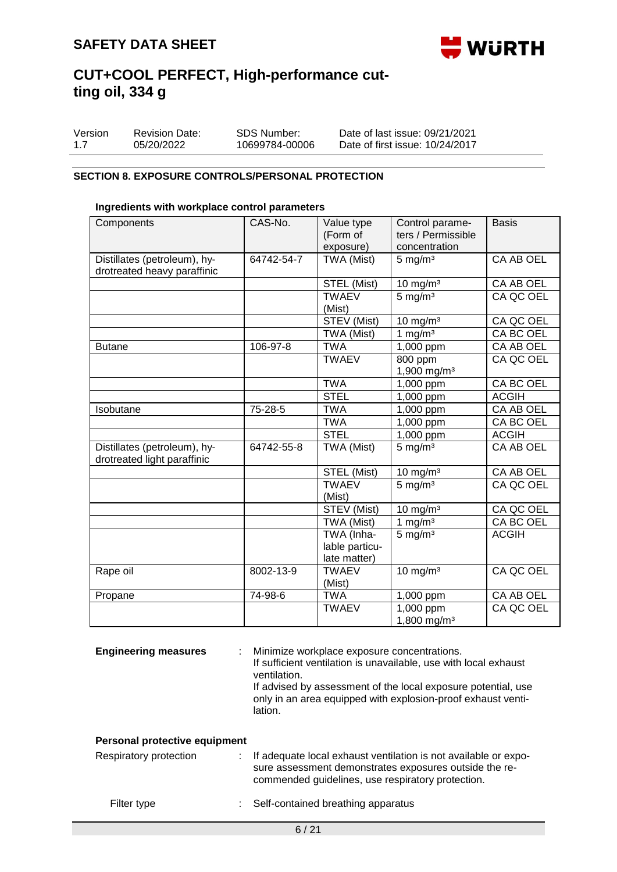

| Version | <b>Revision Date:</b> | SDS Number:    | Date of last issue: 09/21/2021  |
|---------|-----------------------|----------------|---------------------------------|
| 1.7     | 05/20/2022            | 10699784-00006 | Date of first issue: 10/24/2017 |

### **SECTION 8. EXPOSURE CONTROLS/PERSONAL PROTECTION**

#### **Ingredients with workplace control parameters**

| Components                                                  | CAS-No.    | Value type<br>(Form of<br>exposure)          | Control parame-<br>ters / Permissible<br>concentration | <b>Basis</b>     |
|-------------------------------------------------------------|------------|----------------------------------------------|--------------------------------------------------------|------------------|
| Distillates (petroleum), hy-<br>drotreated heavy paraffinic | 64742-54-7 | TWA (Mist)                                   | $5 \text{ mg/m}^3$                                     | CA AB OEL        |
|                                                             |            | STEL (Mist)                                  | $10 \text{ mg/m}^3$                                    | CA AB OEL        |
|                                                             |            | <b>TWAEV</b><br>(Mist)                       | $5 \overline{\mathrm{mg}}/\mathrm{m}^3$                | CA QC OEL        |
|                                                             |            | STEV (Mist)                                  | $10$ mg/m <sup>3</sup>                                 | CA QC OEL        |
|                                                             |            | TWA (Mist)                                   | $\frac{1}{1}$ mg/m <sup>3</sup>                        | <b>CA BC OEL</b> |
| <b>Butane</b>                                               | 106-97-8   | <b>TWA</b>                                   | 1,000 ppm                                              | CA AB OEL        |
|                                                             |            | <b>TWAEV</b>                                 | 800 ppm<br>1,900 mg/m <sup>3</sup>                     | CA QC OEL        |
|                                                             |            | <b>TWA</b>                                   | 1,000 ppm                                              | CA BC OEL        |
|                                                             |            | <b>STEL</b>                                  | 1,000 ppm                                              | <b>ACGIH</b>     |
| Isobutane                                                   | 75-28-5    | <b>TWA</b>                                   | 1,000 ppm                                              | CA AB OEL        |
|                                                             |            | <b>TWA</b>                                   | 1,000 ppm                                              | CA BC OEL        |
|                                                             |            | <b>STEL</b>                                  | $1,000$ ppm                                            | <b>ACGIH</b>     |
| Distillates (petroleum), hy-<br>drotreated light paraffinic | 64742-55-8 | TWA (Mist)                                   | $5 \text{ mg/m}^3$                                     | CA AB OEL        |
|                                                             |            | STEL (Mist)                                  | $10 \text{ mg/m}^3$                                    | CA AB OEL        |
|                                                             |            | <b>TWAEV</b><br>(Mist)                       | $5 \text{ mg/m}^3$                                     | CA QC OEL        |
|                                                             |            | STEV (Mist)                                  | $10 \text{ mg/m}^3$                                    | CA QC OEL        |
|                                                             |            | TWA (Mist)                                   | 1 mg/ $m3$                                             | CA BC OEL        |
|                                                             |            | TWA (Inha-<br>lable particu-<br>late matter) | $5 \text{ mg/m}^3$                                     | <b>ACGIH</b>     |
| Rape oil                                                    | 8002-13-9  | <b>TWAEV</b><br>(Mist)                       | $10 \text{ mg/m}^3$                                    | CA QC OEL        |
| Propane                                                     | 74-98-6    | <b>TWA</b>                                   | 1,000 ppm                                              | CA AB OEL        |
|                                                             |            | <b>TWAEV</b>                                 | 1,000 ppm<br>1,800 mg/m <sup>3</sup>                   | CA QC OEL        |

**Engineering measures** : Minimize workplace exposure concentrations.

If sufficient ventilation is unavailable, use with local exhaust ventilation.

If advised by assessment of the local exposure potential, use only in an area equipped with explosion-proof exhaust ventilation.

#### **Personal protective equipment**

| Respiratory protection | : If adequate local exhaust ventilation is not available or expo-<br>sure assessment demonstrates exposures outside the re-<br>commended guidelines, use respiratory protection. |
|------------------------|----------------------------------------------------------------------------------------------------------------------------------------------------------------------------------|
| Filter type            | Self-contained breathing apparatus                                                                                                                                               |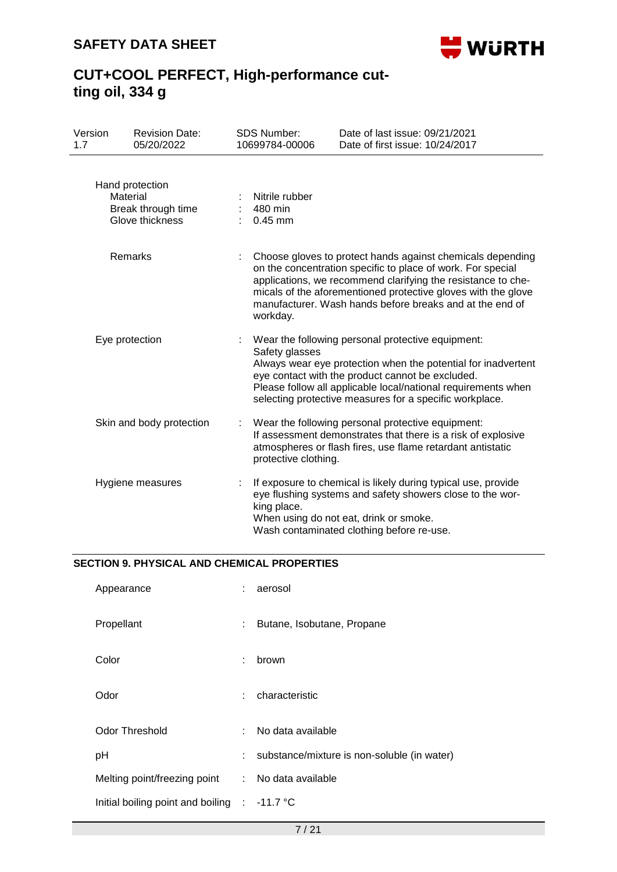

## **CUT+COOL PERFECT, High-performance cutting oil, 334 g**

| Version<br>1.7 | <b>Revision Date:</b><br>05/20/2022                                  | <b>SDS Number:</b><br>10699784-00006   | Date of last issue: 09/21/2021<br>Date of first issue: 10/24/2017                                                                                                                                                                                                                                                      |
|----------------|----------------------------------------------------------------------|----------------------------------------|------------------------------------------------------------------------------------------------------------------------------------------------------------------------------------------------------------------------------------------------------------------------------------------------------------------------|
|                | Hand protection<br>Material<br>Break through time<br>Glove thickness | Nitrile rubber<br>480 min<br>$0.45$ mm |                                                                                                                                                                                                                                                                                                                        |
|                | Remarks                                                              | workday.                               | Choose gloves to protect hands against chemicals depending<br>on the concentration specific to place of work. For special<br>applications, we recommend clarifying the resistance to che-<br>micals of the aforementioned protective gloves with the glove<br>manufacturer. Wash hands before breaks and at the end of |
|                | Eye protection                                                       | Safety glasses                         | Wear the following personal protective equipment:<br>Always wear eye protection when the potential for inadvertent<br>eye contact with the product cannot be excluded.<br>Please follow all applicable local/national requirements when<br>selecting protective measures for a specific workplace.                     |
|                | Skin and body protection                                             | protective clothing.                   | Wear the following personal protective equipment:<br>If assessment demonstrates that there is a risk of explosive<br>atmospheres or flash fires, use flame retardant antistatic                                                                                                                                        |
|                | Hygiene measures                                                     | king place.                            | If exposure to chemical is likely during typical use, provide<br>eye flushing systems and safety showers close to the wor-<br>When using do not eat, drink or smoke.<br>Wash contaminated clothing before re-use.                                                                                                      |

### **SECTION 9. PHYSICAL AND CHEMICAL PROPERTIES**

| Appearance                        | t.                         | aerosol                                     |
|-----------------------------------|----------------------------|---------------------------------------------|
| Propellant                        | t.                         | Butane, Isobutane, Propane                  |
| Color                             | t.                         | brown                                       |
| Odor                              |                            | : characteristic                            |
| Odor Threshold                    | $\mathcal{F}(\mathcal{A})$ | No data available                           |
| pH                                | t.                         | substance/mixture is non-soluble (in water) |
| Melting point/freezing point      |                            | : No data available                         |
| Initial boiling point and boiling |                            | $\therefore$ -11.7 °C                       |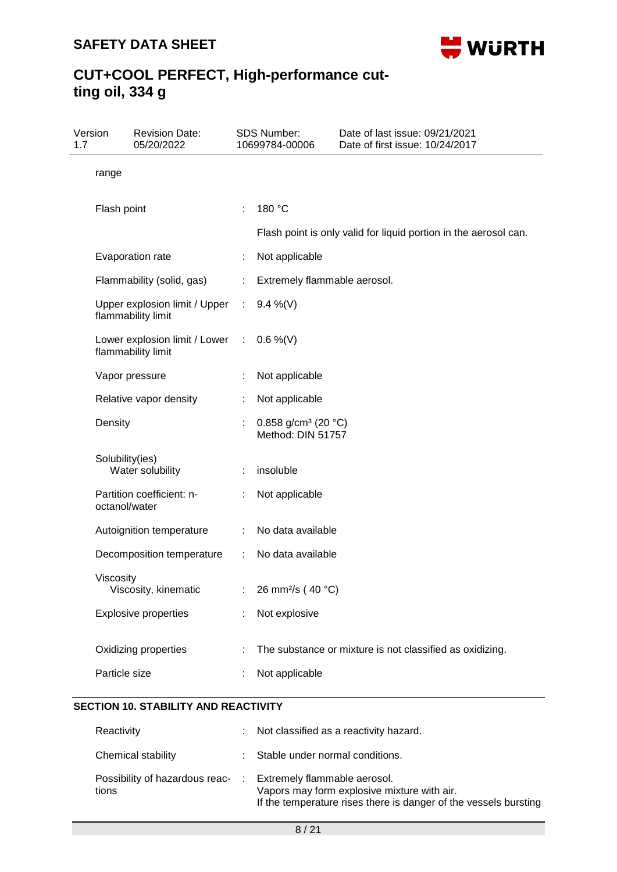

## **CUT+COOL PERFECT, High-performance cutting oil, 334 g**

| Version<br>1.7 |                 | <b>Revision Date:</b><br>05/20/2022                            |                             | <b>SDS Number:</b><br>10699784-00006                 | Date of last issue: 09/21/2021<br>Date of first issue: 10/24/2017 |
|----------------|-----------------|----------------------------------------------------------------|-----------------------------|------------------------------------------------------|-------------------------------------------------------------------|
|                | range           |                                                                |                             |                                                      |                                                                   |
|                | Flash point     |                                                                | ÷                           | 180 °C                                               | Flash point is only valid for liquid portion in the aerosol can.  |
|                |                 | Evaporation rate                                               | ÷                           | Not applicable                                       |                                                                   |
|                |                 | Flammability (solid, gas)                                      |                             | Extremely flammable aerosol.                         |                                                                   |
|                |                 | Upper explosion limit / Upper<br>flammability limit            | $\mathcal{L}_{\mathcal{A}}$ | 9.4 %(V)                                             |                                                                   |
|                |                 | Lower explosion limit / Lower : 0.6 %(V)<br>flammability limit |                             |                                                      |                                                                   |
|                |                 | Vapor pressure                                                 |                             | Not applicable                                       |                                                                   |
|                |                 | Relative vapor density                                         |                             | Not applicable                                       |                                                                   |
|                | Density         |                                                                |                             | 0.858 g/cm <sup>3</sup> (20 °C)<br>Method: DIN 51757 |                                                                   |
|                | Solubility(ies) | Water solubility                                               |                             | insoluble                                            |                                                                   |
|                | octanol/water   | Partition coefficient: n-                                      |                             | Not applicable                                       |                                                                   |
|                |                 | Autoignition temperature                                       | ÷                           | No data available                                    |                                                                   |
|                |                 | Decomposition temperature                                      | ÷.                          | No data available                                    |                                                                   |
|                | Viscosity       | Viscosity, kinematic                                           |                             | : 26 mm <sup>2</sup> /s (40 °C)                      |                                                                   |
|                |                 | <b>Explosive properties</b>                                    |                             | Not explosive                                        |                                                                   |
|                | Particle size   | Oxidizing properties                                           |                             | Not applicable                                       | The substance or mixture is not classified as oxidizing.          |
|                |                 |                                                                |                             |                                                      |                                                                   |

### **SECTION 10. STABILITY AND REACTIVITY**

| Reactivity         | : Not classified as a reactivity hazard.                                                                                                                                         |
|--------------------|----------------------------------------------------------------------------------------------------------------------------------------------------------------------------------|
| Chemical stability | : Stable under normal conditions.                                                                                                                                                |
| tions              | Possibility of hazardous reac- : Extremely flammable aerosol.<br>Vapors may form explosive mixture with air.<br>If the temperature rises there is danger of the vessels bursting |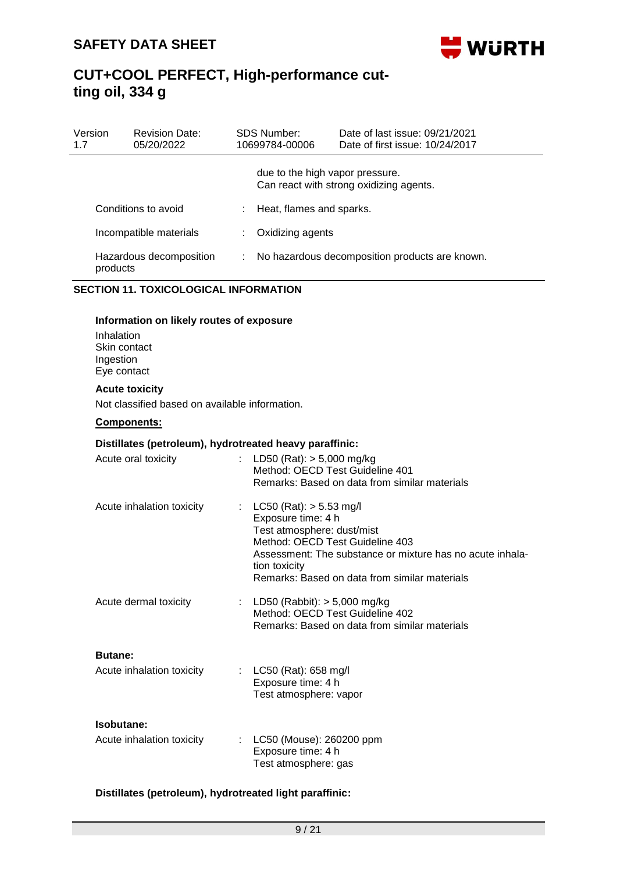

| Version<br>1.7 |                                                        | <b>Revision Date:</b><br>05/20/2022                                            |                                                     | <b>SDS Number:</b><br>10699784-00006                                                                                                | Date of last issue: 09/21/2021<br>Date of first issue: 10/24/2017                                          |
|----------------|--------------------------------------------------------|--------------------------------------------------------------------------------|-----------------------------------------------------|-------------------------------------------------------------------------------------------------------------------------------------|------------------------------------------------------------------------------------------------------------|
|                |                                                        |                                                                                |                                                     | due to the high vapor pressure.                                                                                                     | Can react with strong oxidizing agents.                                                                    |
|                |                                                        | Conditions to avoid                                                            |                                                     | Heat, flames and sparks.                                                                                                            |                                                                                                            |
|                |                                                        | Incompatible materials                                                         | ÷                                                   | Oxidizing agents                                                                                                                    |                                                                                                            |
|                | products                                               | Hazardous decomposition                                                        | ÷<br>No hazardous decomposition products are known. |                                                                                                                                     |                                                                                                            |
|                |                                                        | <b>SECTION 11. TOXICOLOGICAL INFORMATION</b>                                   |                                                     |                                                                                                                                     |                                                                                                            |
|                | Inhalation<br>Skin contact<br>Ingestion<br>Eye contact | Information on likely routes of exposure                                       |                                                     |                                                                                                                                     |                                                                                                            |
|                |                                                        | <b>Acute toxicity</b><br>Not classified based on available information.        |                                                     |                                                                                                                                     |                                                                                                            |
|                |                                                        | Components:                                                                    |                                                     |                                                                                                                                     |                                                                                                            |
|                |                                                        | Distillates (petroleum), hydrotreated heavy paraffinic:<br>Acute oral toxicity |                                                     | LD50 (Rat): $> 5,000$ mg/kg<br>Method: OECD Test Guideline 401                                                                      | Remarks: Based on data from similar materials                                                              |
|                |                                                        | Acute inhalation toxicity                                                      | ÷.                                                  | $LC50$ (Rat): $> 5.53$ mg/l<br>Exposure time: 4 h<br>Test atmosphere: dust/mist<br>Method: OECD Test Guideline 403<br>tion toxicity | Assessment: The substance or mixture has no acute inhala-<br>Remarks: Based on data from similar materials |
|                |                                                        | Acute dermal toxicity                                                          |                                                     | LD50 (Rabbit): $> 5,000$ mg/kg<br>Method: OECD Test Guideline 402                                                                   | Remarks: Based on data from similar materials                                                              |
|                | <b>Butane:</b>                                         |                                                                                |                                                     |                                                                                                                                     |                                                                                                            |
|                |                                                        | Acute inhalation toxicity                                                      |                                                     | LC50 (Rat): 658 mg/l<br>Exposure time: 4 h<br>Test atmosphere: vapor                                                                |                                                                                                            |
|                | Isobutane:                                             |                                                                                |                                                     |                                                                                                                                     |                                                                                                            |
|                |                                                        | Acute inhalation toxicity                                                      |                                                     | LC50 (Mouse): 260200 ppm<br>Exposure time: 4 h<br>Test atmosphere: gas                                                              |                                                                                                            |

### **Distillates (petroleum), hydrotreated light paraffinic:**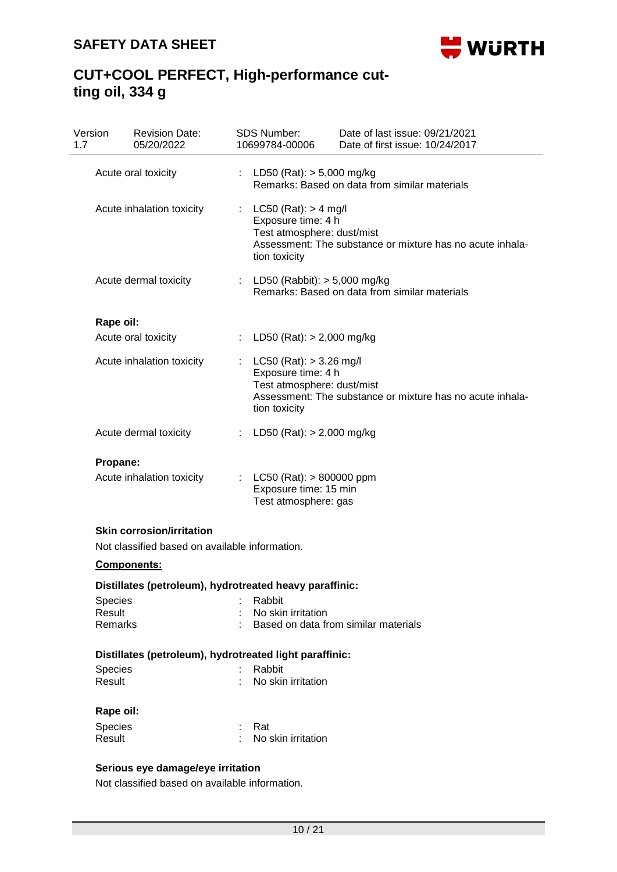

### **CUT+COOL PERFECT, High-performance cutting oil, 334 g**

| Version        | <b>Revision Date:</b><br>05/20/2022            | <b>SDS Number:</b><br>Date of last issue: 09/21/2021<br>Date of first issue: 10/24/2017<br>10699784-00006                                                          |  |
|----------------|------------------------------------------------|--------------------------------------------------------------------------------------------------------------------------------------------------------------------|--|
|                | Acute oral toxicity                            | LD50 (Rat): > 5,000 mg/kg<br>÷.<br>Remarks: Based on data from similar materials                                                                                   |  |
|                | Acute inhalation toxicity                      | $LC50$ (Rat): > 4 mg/l<br>t.<br>Exposure time: 4 h<br>Test atmosphere: dust/mist<br>Assessment: The substance or mixture has no acute inhala-<br>tion toxicity     |  |
|                | Acute dermal toxicity                          | : LD50 (Rabbit): $> 5,000$ mg/kg<br>Remarks: Based on data from similar materials                                                                                  |  |
| Rape oil:      |                                                |                                                                                                                                                                    |  |
|                | Acute oral toxicity                            | LD50 (Rat): $> 2,000$ mg/kg                                                                                                                                        |  |
|                | Acute inhalation toxicity                      | $LC50$ (Rat): $> 3.26$ mg/l<br>÷<br>Exposure time: 4 h<br>Test atmosphere: dust/mist<br>Assessment: The substance or mixture has no acute inhala-<br>tion toxicity |  |
|                | Acute dermal toxicity                          | LD50 (Rat): > 2,000 mg/kg<br>÷                                                                                                                                     |  |
| Propane:       |                                                |                                                                                                                                                                    |  |
|                | Acute inhalation toxicity                      | $LC50$ (Rat): $> 800000$ ppm<br>t i<br>Exposure time: 15 min<br>Test atmosphere: gas                                                                               |  |
|                | <b>Skin corrosion/irritation</b>               |                                                                                                                                                                    |  |
|                | Not classified based on available information. |                                                                                                                                                                    |  |
|                | Components:                                    |                                                                                                                                                                    |  |
|                |                                                | Distillates (petroleum), hydrotreated heavy paraffinic:                                                                                                            |  |
| <b>Species</b> |                                                | Rabbit                                                                                                                                                             |  |
| Result         |                                                | No skin irritation                                                                                                                                                 |  |
| Remarks        |                                                | Based on data from similar materials                                                                                                                               |  |
|                |                                                | Distillates (petroleum), hydrotreated light paraffinic:                                                                                                            |  |
| Species        |                                                | Rabbit                                                                                                                                                             |  |
| Result         |                                                | No skin irritation                                                                                                                                                 |  |
| Rape oil:      |                                                |                                                                                                                                                                    |  |
| Species        |                                                | Rat                                                                                                                                                                |  |
|                | Result                                         | No skin irritation                                                                                                                                                 |  |

Not classified based on available information.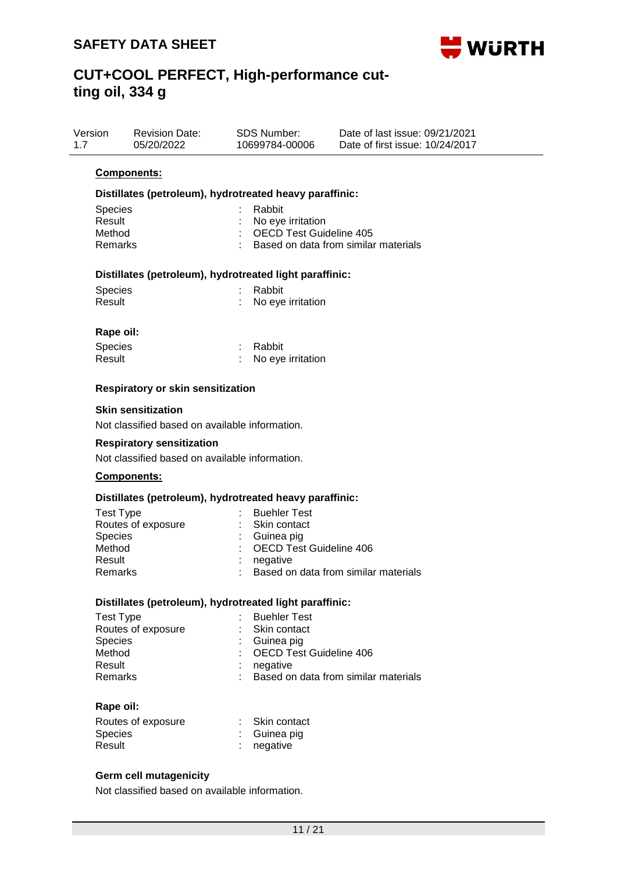

| Version<br>1.7 | <b>Revision Date:</b><br>05/20/2022                     | <b>SDS Number:</b><br>10699784-00006                          | Date of last issue: 09/21/2021<br>Date of first issue: 10/24/2017 |
|----------------|---------------------------------------------------------|---------------------------------------------------------------|-------------------------------------------------------------------|
|                | Components:                                             |                                                               |                                                                   |
|                | Distillates (petroleum), hydrotreated heavy paraffinic: |                                                               |                                                                   |
|                | <b>Species</b><br>Result<br>Method<br><b>Remarks</b>    | Rabbit<br>No eye irritation<br><b>OECD Test Guideline 405</b> | Based on data from similar materials                              |
|                | Distillates (petroleum), hydrotreated light paraffinic: |                                                               |                                                                   |
|                | <b>Species</b>                                          | Rabbit                                                        |                                                                   |
|                | Result                                                  | No eye irritation                                             |                                                                   |
|                | Rape oil:                                               |                                                               |                                                                   |
|                | Species                                                 | Rabbit                                                        |                                                                   |
|                | Result                                                  | No eye irritation                                             |                                                                   |

#### **Respiratory or skin sensitization**

#### **Skin sensitization**

Not classified based on available information.

#### **Respiratory sensitization**

Not classified based on available information.

#### **Components:**

#### **Distillates (petroleum), hydrotreated heavy paraffinic:**

| <b>Test Type</b>   | : Buehler Test                         |
|--------------------|----------------------------------------|
| Routes of exposure | : Skin contact                         |
| <b>Species</b>     | $\therefore$ Guinea pig                |
| Method             | : OECD Test Guideline 406              |
| Result             | negative                               |
| Remarks            | : Based on data from similar materials |
|                    |                                        |

#### **Distillates (petroleum), hydrotreated light paraffinic:**

| Test Type          | : Buehler Test                         |
|--------------------|----------------------------------------|
| Routes of exposure | : Skin contact                         |
| <b>Species</b>     | $\therefore$ Guinea pig                |
| Method             | : OECD Test Guideline 406              |
| Result             | negative                               |
| Remarks            | : Based on data from similar materials |

#### **Rape oil:**

| Routes of exposure | : Skin contact |
|--------------------|----------------|
| <b>Species</b>     | : Guinea pig   |
| Result             | $:$ negative   |

### **Germ cell mutagenicity**

Not classified based on available information.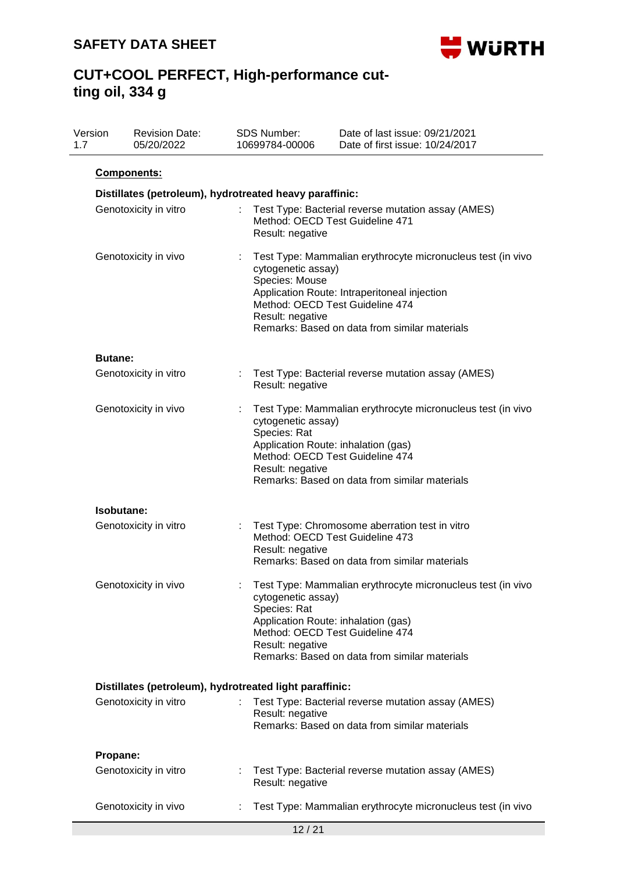

| Version<br>1.7 | <b>Revision Date:</b><br>05/20/2022                     | SDS Number:<br>10699784-00006                            | Date of last issue: 09/21/2021<br>Date of first issue: 10/24/2017                                                                                                                               |
|----------------|---------------------------------------------------------|----------------------------------------------------------|-------------------------------------------------------------------------------------------------------------------------------------------------------------------------------------------------|
|                | <b>Components:</b>                                      |                                                          |                                                                                                                                                                                                 |
|                | Distillates (petroleum), hydrotreated heavy paraffinic: |                                                          |                                                                                                                                                                                                 |
|                | Genotoxicity in vitro                                   | Result: negative                                         | Test Type: Bacterial reverse mutation assay (AMES)<br>Method: OECD Test Guideline 471                                                                                                           |
|                | Genotoxicity in vivo                                    | cytogenetic assay)<br>Species: Mouse<br>Result: negative | Test Type: Mammalian erythrocyte micronucleus test (in vivo<br>Application Route: Intraperitoneal injection<br>Method: OECD Test Guideline 474<br>Remarks: Based on data from similar materials |
|                | <b>Butane:</b>                                          |                                                          |                                                                                                                                                                                                 |
|                | Genotoxicity in vitro                                   | ÷.<br>Result: negative                                   | Test Type: Bacterial reverse mutation assay (AMES)                                                                                                                                              |
|                | Genotoxicity in vivo                                    | cytogenetic assay)<br>Species: Rat<br>Result: negative   | Test Type: Mammalian erythrocyte micronucleus test (in vivo<br>Application Route: inhalation (gas)<br>Method: OECD Test Guideline 474<br>Remarks: Based on data from similar materials          |
|                | Isobutane:                                              |                                                          |                                                                                                                                                                                                 |
|                | Genotoxicity in vitro                                   | Result: negative                                         | Test Type: Chromosome aberration test in vitro<br>Method: OECD Test Guideline 473<br>Remarks: Based on data from similar materials                                                              |
|                | Genotoxicity in vivo                                    | cytogenetic assay)<br>Species: Rat<br>Result: negative   | Test Type: Mammalian erythrocyte micronucleus test (in vivo<br>Application Route: inhalation (gas)<br>Method: OECD Test Guideline 474<br>Remarks: Based on data from similar materials          |
|                | Distillates (petroleum), hydrotreated light paraffinic: |                                                          |                                                                                                                                                                                                 |
|                | Genotoxicity in vitro                                   | Result: negative                                         | Test Type: Bacterial reverse mutation assay (AMES)<br>Remarks: Based on data from similar materials                                                                                             |
|                | Propane:                                                |                                                          |                                                                                                                                                                                                 |
|                | Genotoxicity in vitro                                   | Result: negative                                         | Test Type: Bacterial reverse mutation assay (AMES)                                                                                                                                              |
|                | Genotoxicity in vivo                                    |                                                          | Test Type: Mammalian erythrocyte micronucleus test (in vivo                                                                                                                                     |
|                |                                                         |                                                          | 12/21                                                                                                                                                                                           |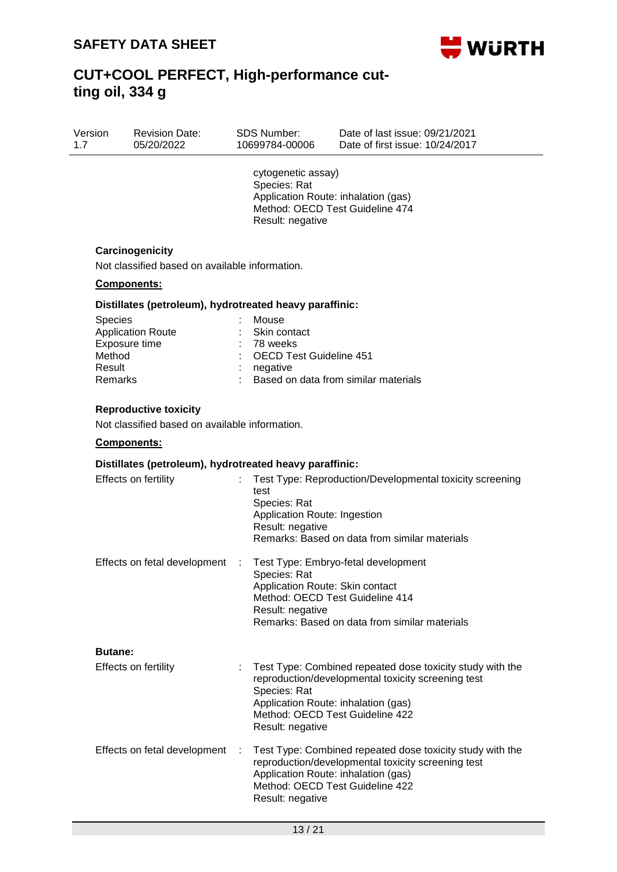

| Version | <b>Revision Date:</b> | SDS Number:    | Date of last issue: 09/21/2021  |  |
|---------|-----------------------|----------------|---------------------------------|--|
| 1.7     | 05/20/2022            | 10699784-00006 | Date of first issue: 10/24/2017 |  |
|         |                       |                |                                 |  |

cytogenetic assay) Species: Rat Application Route: inhalation (gas) Method: OECD Test Guideline 474 Result: negative

### **Carcinogenicity**

Not classified based on available information.

#### **Components:**

#### **Distillates (petroleum), hydrotreated heavy paraffinic:**

| <b>Species</b><br>: Mouse                         |  |
|---------------------------------------------------|--|
| <b>Application Route</b><br>: Skin contact        |  |
| Exposure time<br>$: 78$ weeks                     |  |
| : OECD Test Guideline 451<br>Method               |  |
| Result<br>negative                                |  |
| : Based on data from similar materials<br>Remarks |  |

#### **Reproductive toxicity**

Not classified based on available information.

#### **Components:**

#### **Distillates (petroleum), hydrotreated heavy paraffinic:**

| Effects on fertility              | Test Type: Reproduction/Developmental toxicity screening<br>test<br>Species: Rat<br>Application Route: Ingestion<br>Result: negative<br>Remarks: Based on data from similar materials                                         |
|-----------------------------------|-------------------------------------------------------------------------------------------------------------------------------------------------------------------------------------------------------------------------------|
| Effects on fetal development<br>÷ | Test Type: Embryo-fetal development<br>Species: Rat<br>Application Route: Skin contact<br>Method: OECD Test Guideline 414<br>Result: negative<br>Remarks: Based on data from similar materials                                |
| <b>Butane:</b>                    |                                                                                                                                                                                                                               |
| Effects on fertility              | Test Type: Combined repeated dose toxicity study with the<br>reproduction/developmental toxicity screening test<br>Species: Rat<br>Application Route: inhalation (gas)<br>Method: OECD Test Guideline 422<br>Result: negative |
| Effects on fetal development      | Test Type: Combined repeated dose toxicity study with the<br>reproduction/developmental toxicity screening test<br>Application Route: inhalation (gas)<br>Method: OECD Test Guideline 422<br>Result: negative                 |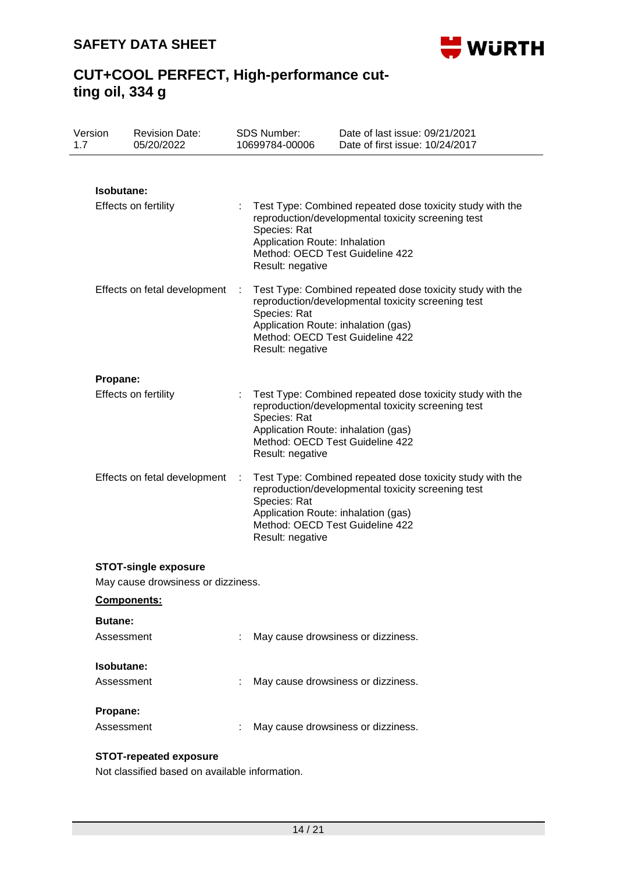

| Version<br>1.7 | <b>Revision Date:</b><br>05/20/2022 |    | <b>SDS Number:</b><br>10699784-00006                                    | Date of last issue: 09/21/2021<br>Date of first issue: 10/24/2017                                                                                  |
|----------------|-------------------------------------|----|-------------------------------------------------------------------------|----------------------------------------------------------------------------------------------------------------------------------------------------|
|                |                                     |    |                                                                         |                                                                                                                                                    |
|                | Isobutane:                          |    |                                                                         |                                                                                                                                                    |
|                | <b>Effects on fertility</b>         |    | Species: Rat<br>Application Route: Inhalation<br>Result: negative       | Test Type: Combined repeated dose toxicity study with the<br>reproduction/developmental toxicity screening test<br>Method: OECD Test Guideline 422 |
|                | Effects on fetal development        |    | Species: Rat<br>Application Route: inhalation (gas)<br>Result: negative | Test Type: Combined repeated dose toxicity study with the<br>reproduction/developmental toxicity screening test<br>Method: OECD Test Guideline 422 |
| Propane:       |                                     |    |                                                                         |                                                                                                                                                    |
|                | <b>Effects on fertility</b>         | ÷. | Species: Rat<br>Application Route: inhalation (gas)<br>Result: negative | Test Type: Combined repeated dose toxicity study with the<br>reproduction/developmental toxicity screening test<br>Method: OECD Test Guideline 422 |
|                | Effects on fetal development        |    | Species: Rat<br>Application Route: inhalation (gas)<br>Result: negative | Test Type: Combined repeated dose toxicity study with the<br>reproduction/developmental toxicity screening test<br>Method: OECD Test Guideline 422 |
|                | <b>STOT-single exposure</b>         |    |                                                                         |                                                                                                                                                    |
|                | May cause drowsiness or dizziness.  |    |                                                                         |                                                                                                                                                    |
|                | <b>Components:</b>                  |    |                                                                         |                                                                                                                                                    |
| <b>Butane:</b> |                                     |    |                                                                         |                                                                                                                                                    |
|                | Assessment                          |    |                                                                         | May cause drowsiness or dizziness.                                                                                                                 |
|                | Isobutane:                          |    |                                                                         |                                                                                                                                                    |
|                | Assessment                          |    |                                                                         | May cause drowsiness or dizziness.                                                                                                                 |
| Propane:       |                                     |    |                                                                         |                                                                                                                                                    |
|                | Assessment                          |    | May cause drowsiness or dizziness.                                      |                                                                                                                                                    |
|                | <b>STOT-repeated exposure</b>       |    |                                                                         |                                                                                                                                                    |

Not classified based on available information.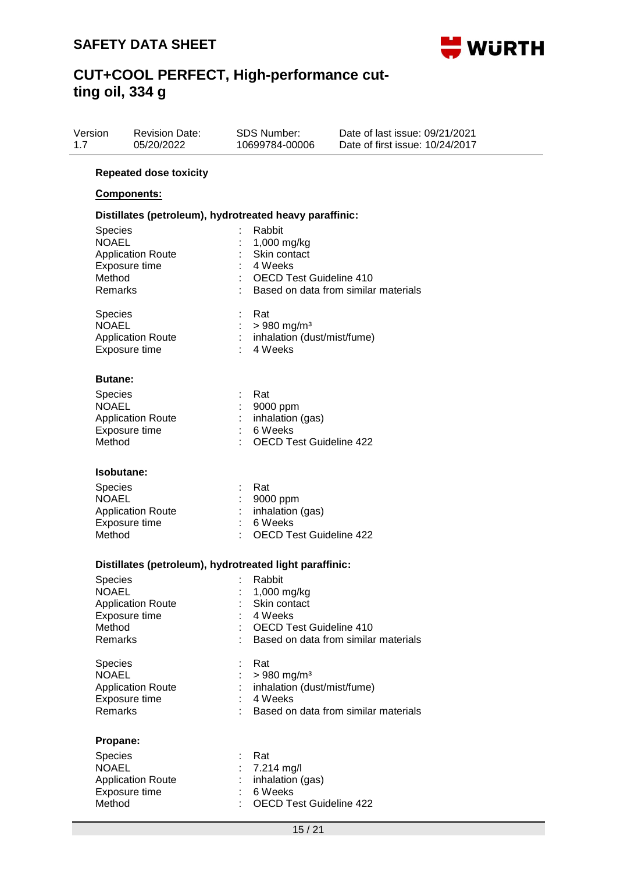

## **CUT+COOL PERFECT, High-performance cutting oil, 334 g**

| Version<br>1.7 |                                                                                | <b>Revision Date:</b><br>05/20/2022                                                    | SDS Number:<br>10699784-00006                                                                                                                                      | Date of last issue: 09/21/2021<br>Date of first issue: 10/24/2017 |
|----------------|--------------------------------------------------------------------------------|----------------------------------------------------------------------------------------|--------------------------------------------------------------------------------------------------------------------------------------------------------------------|-------------------------------------------------------------------|
|                |                                                                                | <b>Repeated dose toxicity</b>                                                          |                                                                                                                                                                    |                                                                   |
|                |                                                                                | <b>Components:</b>                                                                     |                                                                                                                                                                    |                                                                   |
|                |                                                                                | Distillates (petroleum), hydrotreated heavy paraffinic:                                |                                                                                                                                                                    |                                                                   |
|                | Species<br><b>NOAEL</b><br>Method<br>Remarks<br><b>Species</b><br><b>NOAEL</b> | <b>Application Route</b><br>Exposure time<br><b>Application Route</b><br>Exposure time | Rabbit<br>1,000 mg/kg<br>Skin contact<br>4 Weeks<br><b>OECD Test Guideline 410</b><br>Rat<br>$> 980$ mg/m <sup>3</sup><br>: inhalation (dust/mist/fume)<br>4 Weeks | Based on data from similar materials                              |
|                | <b>Butane:</b>                                                                 |                                                                                        |                                                                                                                                                                    |                                                                   |
|                | Species<br><b>NOAEL</b><br>Method                                              | <b>Application Route</b><br>Exposure time                                              | Rat<br>9000 ppm<br>inhalation (gas)<br>6 Weeks<br><b>OECD Test Guideline 422</b>                                                                                   |                                                                   |
|                | Isobutane:                                                                     |                                                                                        |                                                                                                                                                                    |                                                                   |
|                | <b>Species</b><br><b>NOAEL</b><br>Method                                       | <b>Application Route</b><br>Exposure time                                              | Rat<br>9000 ppm<br>inhalation (gas)<br>6 Weeks<br><b>OECD Test Guideline 422</b>                                                                                   |                                                                   |
|                |                                                                                | Distillates (petroleum), hydrotreated light paraffinic:                                |                                                                                                                                                                    |                                                                   |
|                | <b>Species</b><br>NOAEL<br>Method<br>Remarks                                   | <b>Application Route</b><br>Exposure time                                              | Rabbit<br>1,000 mg/kg<br>Skin contact<br>4 Weeks<br><b>OECD Test Guideline 410</b>                                                                                 | Based on data from similar materials                              |
|                | Species<br><b>NOAEL</b><br><b>Remarks</b>                                      | <b>Application Route</b><br>Exposure time                                              | Rat<br>$> 980$ mg/m <sup>3</sup><br>inhalation (dust/mist/fume)<br>4 Weeks                                                                                         | Based on data from similar materials                              |
|                | Propane:                                                                       |                                                                                        |                                                                                                                                                                    |                                                                   |
|                | Species<br><b>NOAEL</b><br>Method                                              | <b>Application Route</b><br>Exposure time                                              | Rat<br>7.214 mg/l<br>inhalation (gas)<br>6 Weeks<br><b>OECD Test Guideline 422</b>                                                                                 |                                                                   |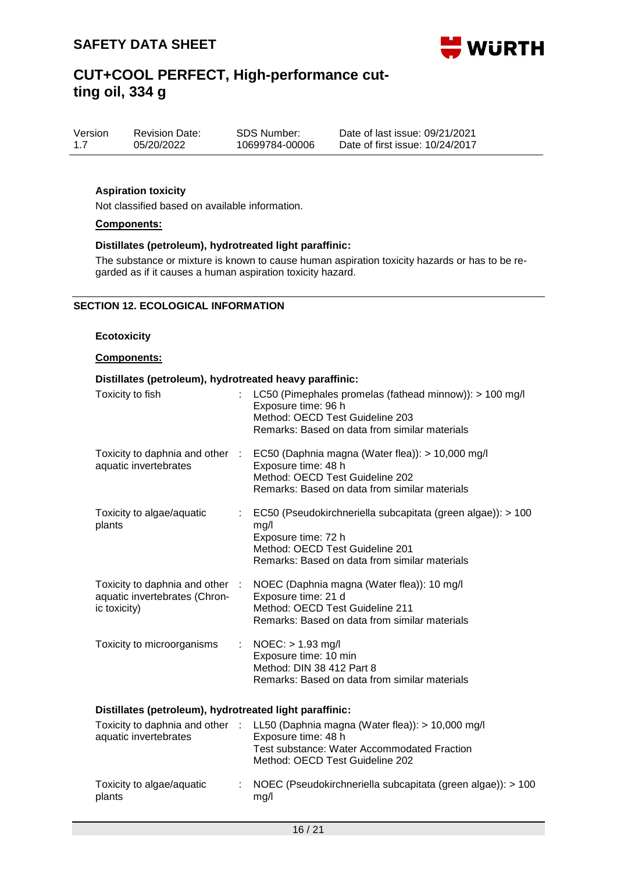

| Version | <b>Revision Date:</b> | SDS Number:    |
|---------|-----------------------|----------------|
| 1.7     | 05/20/2022            | 10699784-00006 |

Date of last issue: 09/21/2021 Date of first issue: 10/24/2017

### **Aspiration toxicity**

Not classified based on available information.

#### **Components:**

#### **Distillates (petroleum), hydrotreated light paraffinic:**

The substance or mixture is known to cause human aspiration toxicity hazards or has to be regarded as if it causes a human aspiration toxicity hazard.

#### **SECTION 12. ECOLOGICAL INFORMATION**

#### **Ecotoxicity**

#### **Components:**

| Distillates (petroleum), hydrotreated heavy paraffinic:                          |                                                                                                                                                                                             |  |  |  |  |  |
|----------------------------------------------------------------------------------|---------------------------------------------------------------------------------------------------------------------------------------------------------------------------------------------|--|--|--|--|--|
| Toxicity to fish                                                                 | LC50 (Pimephales promelas (fathead minnow)): > 100 mg/l<br>Exposure time: 96 h<br>Method: OECD Test Guideline 203<br>Remarks: Based on data from similar materials                          |  |  |  |  |  |
| aquatic invertebrates                                                            | Toxicity to daphnia and other : EC50 (Daphnia magna (Water flea)): > 10,000 mg/l<br>Exposure time: 48 h<br>Method: OECD Test Guideline 202<br>Remarks: Based on data from similar materials |  |  |  |  |  |
| Toxicity to algae/aquatic<br>plants                                              | $\therefore$ EC50 (Pseudokirchneriella subcapitata (green algae)): > 100<br>mg/l<br>Exposure time: 72 h<br>Method: OECD Test Guideline 201<br>Remarks: Based on data from similar materials |  |  |  |  |  |
| Toxicity to daphnia and other :<br>aquatic invertebrates (Chron-<br>ic toxicity) | NOEC (Daphnia magna (Water flea)): 10 mg/l<br>Exposure time: 21 d<br>Method: OECD Test Guideline 211<br>Remarks: Based on data from similar materials                                       |  |  |  |  |  |
| Toxicity to microorganisms<br>÷.                                                 | NOEC: > 1.93 mg/l<br>Exposure time: 10 min<br>Method: DIN 38 412 Part 8<br>Remarks: Based on data from similar materials                                                                    |  |  |  |  |  |
| Distillates (petroleum), hydrotreated light paraffinic:                          |                                                                                                                                                                                             |  |  |  |  |  |
| aquatic invertebrates                                                            | Toxicity to daphnia and other : LL50 (Daphnia magna (Water flea)): > 10,000 mg/l<br>Exposure time: 48 h<br>Test substance: Water Accommodated Fraction<br>Method: OECD Test Guideline 202   |  |  |  |  |  |
|                                                                                  | .                                                                                                                                                                                           |  |  |  |  |  |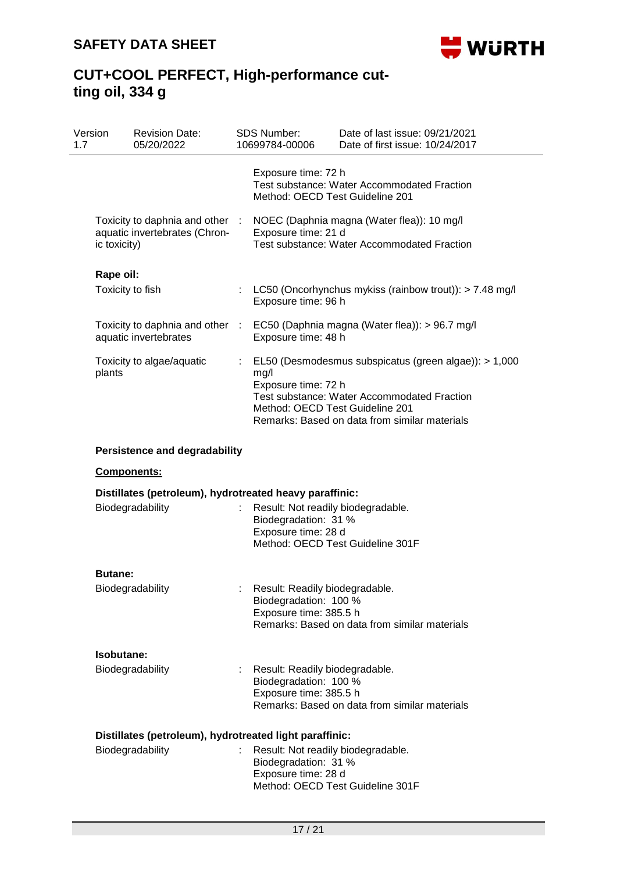

| Version<br>1.7 | <b>Revision Date:</b><br>05/20/2022                                              |           | <b>SDS Number:</b><br>10699784-00006                                              | Date of last issue: 09/21/2021<br>Date of first issue: 10/24/2017                                                                                     |
|----------------|----------------------------------------------------------------------------------|-----------|-----------------------------------------------------------------------------------|-------------------------------------------------------------------------------------------------------------------------------------------------------|
|                |                                                                                  |           | Exposure time: 72 h<br>Method: OECD Test Guideline 201                            | <b>Test substance: Water Accommodated Fraction</b>                                                                                                    |
|                | Toxicity to daphnia and other :<br>aquatic invertebrates (Chron-<br>ic toxicity) |           | Exposure time: 21 d                                                               | NOEC (Daphnia magna (Water flea)): 10 mg/l<br>Test substance: Water Accommodated Fraction                                                             |
|                | Rape oil:                                                                        |           |                                                                                   |                                                                                                                                                       |
|                | Toxicity to fish                                                                 |           | Exposure time: 96 h                                                               | LC50 (Oncorhynchus mykiss (rainbow trout)): $> 7.48$ mg/l                                                                                             |
|                | Toxicity to daphnia and other<br>aquatic invertebrates                           | $\sim$ 10 | Exposure time: 48 h                                                               | EC50 (Daphnia magna (Water flea)): > 96.7 mg/l                                                                                                        |
| plants         | Toxicity to algae/aquatic                                                        | t.        | mg/l<br>Exposure time: 72 h<br>Method: OECD Test Guideline 201                    | EL50 (Desmodesmus subspicatus (green algae)): > 1,000<br>Test substance: Water Accommodated Fraction<br>Remarks: Based on data from similar materials |
|                | <b>Persistence and degradability</b>                                             |           |                                                                                   |                                                                                                                                                       |
|                | Components:                                                                      |           |                                                                                   |                                                                                                                                                       |
|                | Distillates (petroleum), hydrotreated heavy paraffinic:                          |           |                                                                                   |                                                                                                                                                       |
|                | Biodegradability                                                                 |           | Result: Not readily biodegradable.<br>Biodegradation: 31 %<br>Exposure time: 28 d | Method: OECD Test Guideline 301F                                                                                                                      |
|                | <b>Butane:</b>                                                                   |           |                                                                                   |                                                                                                                                                       |
|                | Biodegradability                                                                 |           | Result: Readily biodegradable.<br>Biodegradation: 100 %<br>Exposure time: 385.5 h | Remarks: Based on data from similar materials                                                                                                         |
|                | Isobutane:                                                                       |           |                                                                                   |                                                                                                                                                       |
|                | Biodegradability                                                                 |           | Result: Readily biodegradable.<br>Biodegradation: 100 %<br>Exposure time: 385.5 h | Remarks: Based on data from similar materials                                                                                                         |
|                | Distillates (petroleum), hydrotreated light paraffinic:                          |           |                                                                                   |                                                                                                                                                       |
|                | Biodegradability                                                                 |           | Result: Not readily biodegradable.<br>Biodegradation: 31 %<br>Exposure time: 28 d | Method: OECD Test Guideline 301F                                                                                                                      |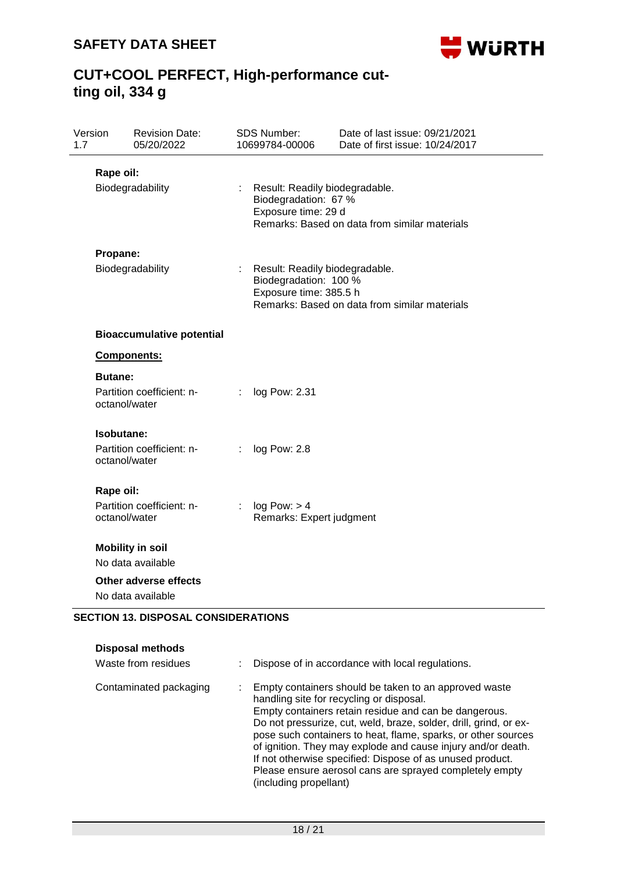

## **CUT+COOL PERFECT, High-performance cutting oil, 334 g**

| Version<br>1.7 | <b>Revision Date:</b><br>05/20/2022                          |    | <b>SDS Number:</b><br>10699784-00006                                              | Date of last issue: 09/21/2021<br>Date of first issue: 10/24/2017 |
|----------------|--------------------------------------------------------------|----|-----------------------------------------------------------------------------------|-------------------------------------------------------------------|
|                | Rape oil:<br>Biodegradability                                |    | Result: Readily biodegradable.<br>Biodegradation: 67 %<br>Exposure time: 29 d     | Remarks: Based on data from similar materials                     |
|                | Propane:<br>Biodegradability                                 |    | Result: Readily biodegradable.<br>Biodegradation: 100 %<br>Exposure time: 385.5 h | Remarks: Based on data from similar materials                     |
|                | <b>Bioaccumulative potential</b>                             |    |                                                                                   |                                                                   |
|                | Components:                                                  |    |                                                                                   |                                                                   |
|                | <b>Butane:</b><br>Partition coefficient: n-<br>octanol/water |    | log Pow: 2.31                                                                     |                                                                   |
|                | Isobutane:<br>Partition coefficient: n-<br>octanol/water     |    | log Pow: 2.8                                                                      |                                                                   |
|                | Rape oil:                                                    |    |                                                                                   |                                                                   |
|                | Partition coefficient: n-<br>octanol/water                   | ÷. | log Pow: > 4<br>Remarks: Expert judgment                                          |                                                                   |
|                | <b>Mobility in soil</b>                                      |    |                                                                                   |                                                                   |
|                | No data available<br><b>Other adverse effects</b>            |    |                                                                                   |                                                                   |
|                | No data available                                            |    |                                                                                   |                                                                   |

### **SECTION 13. DISPOSAL CONSIDERATIONS**

| <b>Disposal methods</b> |                                                                                                                                                                                                                                                                                                                                                                                                                                                                                                                    |
|-------------------------|--------------------------------------------------------------------------------------------------------------------------------------------------------------------------------------------------------------------------------------------------------------------------------------------------------------------------------------------------------------------------------------------------------------------------------------------------------------------------------------------------------------------|
| Waste from residues     | Dispose of in accordance with local regulations.                                                                                                                                                                                                                                                                                                                                                                                                                                                                   |
| Contaminated packaging  | Empty containers should be taken to an approved waste<br>handling site for recycling or disposal.<br>Empty containers retain residue and can be dangerous.<br>Do not pressurize, cut, weld, braze, solder, drill, grind, or ex-<br>pose such containers to heat, flame, sparks, or other sources<br>of ignition. They may explode and cause injury and/or death.<br>If not otherwise specified: Dispose of as unused product.<br>Please ensure aerosol cans are sprayed completely empty<br>(including propellant) |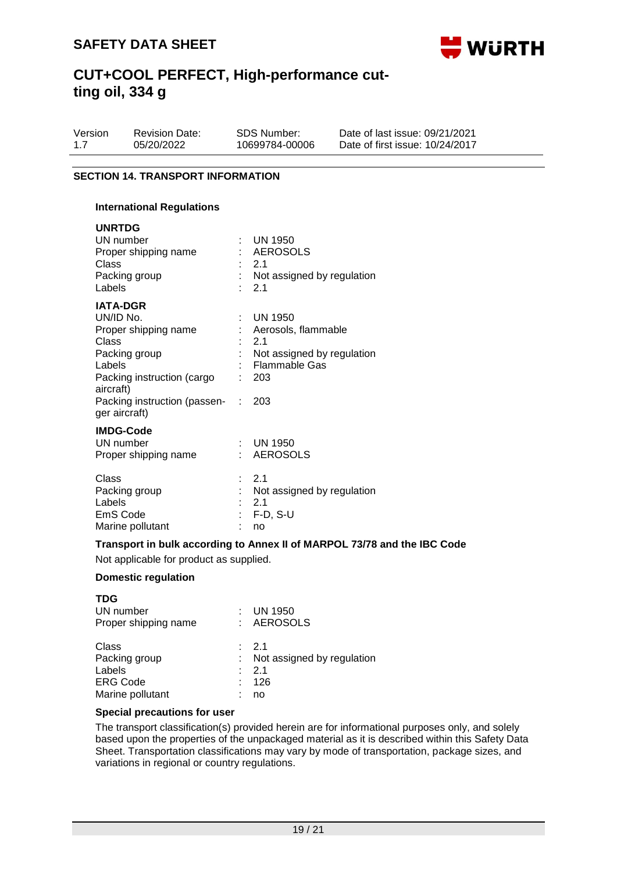

| Version | <b>Revision Date:</b> | SDS Number:    | Date of last issue: 09/21/2021  |
|---------|-----------------------|----------------|---------------------------------|
| 1.7     | 05/20/2022            | 10699784-00006 | Date of first issue: 10/24/2017 |

### **SECTION 14. TRANSPORT INFORMATION**

#### **International Regulations**

| <b>UNRTDG</b><br>UN number<br>Proper shipping name<br>Class<br>Packing group<br>Labels                                                                                                 | t.<br>$\sim$                      | UN 1950<br>: AEROSOLS<br>2.1<br>: Not assigned by regulation<br>2.1                                                 |
|----------------------------------------------------------------------------------------------------------------------------------------------------------------------------------------|-----------------------------------|---------------------------------------------------------------------------------------------------------------------|
| <b>IATA-DGR</b><br>UN/ID No.<br>Proper shipping name<br>Class<br>Packing group<br>Labels<br>Packing instruction (cargo<br>aircraft)<br>Packing instruction (passen- :<br>ger aircraft) | $\mathbb{R}^{\mathbb{Z}}$<br>t in | $\therefore$ UN 1950<br>: Aerosols, flammable<br>2.1<br>Not assigned by regulation<br>Flammable Gas<br>: 203<br>203 |
| <b>IMDG-Code</b><br>UN number<br>Proper shipping name                                                                                                                                  | $\mathbf{r}_{\mathrm{max}}$       | $\therefore$ UN 1950<br><b>AEROSOLS</b>                                                                             |
| Class<br>Packing group<br>Labels<br>EmS Code<br>Marine pollutant                                                                                                                       |                                   | $\therefore$ 2.1<br>Not assigned by regulation<br>2.1<br>$F-D$ , S-U<br>no                                          |

**Transport in bulk according to Annex II of MARPOL 73/78 and the IBC Code**

Not applicable for product as supplied.

#### **Domestic regulation**

| <b>TDG</b><br>UN number<br>Proper shipping name                         |   | <b>UN 1950</b><br>: AEROSOLS                                              |
|-------------------------------------------------------------------------|---|---------------------------------------------------------------------------|
| Class<br>Packing group<br>Labels<br><b>ERG Code</b><br>Marine pollutant | ٠ | $\therefore$ 2.1<br>Not assigned by regulation<br>$\cdot$ 21<br>126<br>no |

### **Special precautions for user**

The transport classification(s) provided herein are for informational purposes only, and solely based upon the properties of the unpackaged material as it is described within this Safety Data Sheet. Transportation classifications may vary by mode of transportation, package sizes, and variations in regional or country regulations.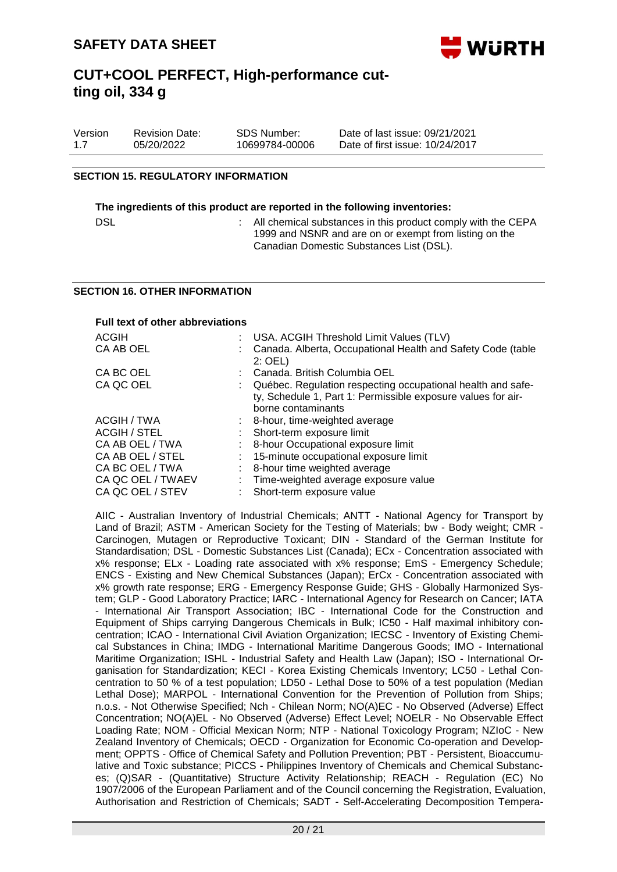

| Version | <b>Revision Date:</b> | SDS Number:    | Date of last issue: 09/21/2021  |
|---------|-----------------------|----------------|---------------------------------|
| 1.7     | 05/20/2022            | 10699784-00006 | Date of first issue: 10/24/2017 |

#### **SECTION 15. REGULATORY INFORMATION**

#### **The ingredients of this product are reported in the following inventories:**

| DSL |  | : All chemical substances in this product comply with the CEPA |  |
|-----|--|----------------------------------------------------------------|--|
|     |  | 1999 and NSNR and are on or exempt from listing on the         |  |
|     |  | Canadian Domestic Substances List (DSL).                       |  |

#### **SECTION 16. OTHER INFORMATION**

| <b>Full text of other abbreviations</b> |                                                                                                                                                   |
|-----------------------------------------|---------------------------------------------------------------------------------------------------------------------------------------------------|
| ACGIH                                   | USA. ACGIH Threshold Limit Values (TLV)                                                                                                           |
| CA AB OEL                               | Canada. Alberta, Occupational Health and Safety Code (table<br>$2:$ OEL)                                                                          |
| CA BC OEL                               | Canada, British Columbia OEL                                                                                                                      |
| CA QC OEL                               | Québec. Regulation respecting occupational health and safe-<br>ty, Schedule 1, Part 1: Permissible exposure values for air-<br>borne contaminants |
| ACGIH / TWA                             | 8-hour, time-weighted average                                                                                                                     |
| ACGIH / STEL                            | Short-term exposure limit                                                                                                                         |
| CA AB OEL / TWA                         | 8-hour Occupational exposure limit                                                                                                                |
| CA AB OEL / STEL                        | 15-minute occupational exposure limit                                                                                                             |
| CA BC OEL / TWA                         | 8-hour time weighted average                                                                                                                      |
| CA QC OEL / TWAEV                       | Time-weighted average exposure value                                                                                                              |
| CA QC OEL / STEV                        | Short-term exposure value                                                                                                                         |

AIIC - Australian Inventory of Industrial Chemicals; ANTT - National Agency for Transport by Land of Brazil; ASTM - American Society for the Testing of Materials; bw - Body weight; CMR - Carcinogen, Mutagen or Reproductive Toxicant; DIN - Standard of the German Institute for Standardisation; DSL - Domestic Substances List (Canada); ECx - Concentration associated with x% response; ELx - Loading rate associated with x% response; EmS - Emergency Schedule; ENCS - Existing and New Chemical Substances (Japan); ErCx - Concentration associated with x% growth rate response; ERG - Emergency Response Guide; GHS - Globally Harmonized System; GLP - Good Laboratory Practice; IARC - International Agency for Research on Cancer; IATA - International Air Transport Association; IBC - International Code for the Construction and Equipment of Ships carrying Dangerous Chemicals in Bulk; IC50 - Half maximal inhibitory concentration; ICAO - International Civil Aviation Organization; IECSC - Inventory of Existing Chemical Substances in China; IMDG - International Maritime Dangerous Goods; IMO - International Maritime Organization; ISHL - Industrial Safety and Health Law (Japan); ISO - International Organisation for Standardization; KECI - Korea Existing Chemicals Inventory; LC50 - Lethal Concentration to 50 % of a test population; LD50 - Lethal Dose to 50% of a test population (Median Lethal Dose); MARPOL - International Convention for the Prevention of Pollution from Ships; n.o.s. - Not Otherwise Specified; Nch - Chilean Norm; NO(A)EC - No Observed (Adverse) Effect Concentration; NO(A)EL - No Observed (Adverse) Effect Level; NOELR - No Observable Effect Loading Rate; NOM - Official Mexican Norm; NTP - National Toxicology Program; NZIoC - New Zealand Inventory of Chemicals; OECD - Organization for Economic Co-operation and Development; OPPTS - Office of Chemical Safety and Pollution Prevention; PBT - Persistent, Bioaccumulative and Toxic substance; PICCS - Philippines Inventory of Chemicals and Chemical Substances; (Q)SAR - (Quantitative) Structure Activity Relationship; REACH - Regulation (EC) No 1907/2006 of the European Parliament and of the Council concerning the Registration, Evaluation, Authorisation and Restriction of Chemicals; SADT - Self-Accelerating Decomposition Tempera-